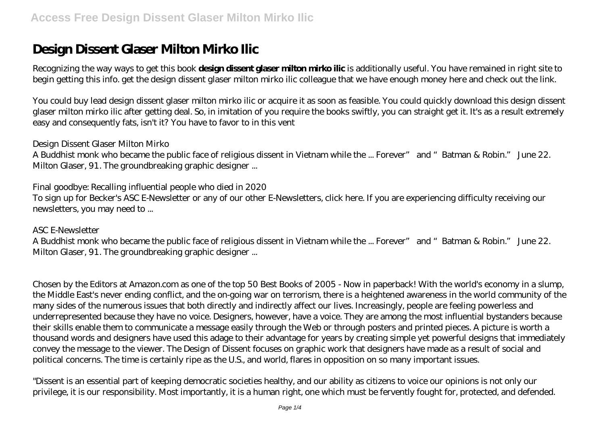# **Design Dissent Glaser Milton Mirko Ilic**

Recognizing the way ways to get this book **design dissent glaser milton mirko ilic** is additionally useful. You have remained in right site to begin getting this info. get the design dissent glaser milton mirko ilic colleague that we have enough money here and check out the link.

You could buy lead design dissent glaser milton mirko ilic or acquire it as soon as feasible. You could quickly download this design dissent glaser milton mirko ilic after getting deal. So, in imitation of you require the books swiftly, you can straight get it. It's as a result extremely easy and consequently fats, isn't it? You have to favor to in this vent

#### *Design Dissent Glaser Milton Mirko*

A Buddhist monk who became the public face of religious dissent in Vietnam while the ... Forever" and "Batman & Robin." June 22. Milton Glaser, 91. The groundbreaking graphic designer ...

#### *Final goodbye: Recalling influential people who died in 2020*

To sign up for Becker's ASC E-Newsletter or any of our other E-Newsletters, click here. If you are experiencing difficulty receiving our newsletters, you may need to ...

#### *ASC E-Newsletter*

A Buddhist monk who became the public face of religious dissent in Vietnam while the ... Forever" and "Batman & Robin." June 22. Milton Glaser, 91. The groundbreaking graphic designer ...

Chosen by the Editors at Amazon.com as one of the top 50 Best Books of 2005 - Now in paperback! With the world's economy in a slump, the Middle East's never ending conflict, and the on-going war on terrorism, there is a heightened awareness in the world community of the many sides of the numerous issues that both directly and indirectly affect our lives. Increasingly, people are feeling powerless and underrepresented because they have no voice. Designers, however, have a voice. They are among the most influential bystanders because their skills enable them to communicate a message easily through the Web or through posters and printed pieces. A picture is worth a thousand words and designers have used this adage to their advantage for years by creating simple yet powerful designs that immediately convey the message to the viewer. The Design of Dissent focuses on graphic work that designers have made as a result of social and political concerns. The time is certainly ripe as the U.S., and world, flares in opposition on so many important issues.

"Dissent is an essential part of keeping democratic societies healthy, and our ability as citizens to voice our opinions is not only our privilege, it is our responsibility. Most importantly, it is a human right, one which must be fervently fought for, protected, and defended.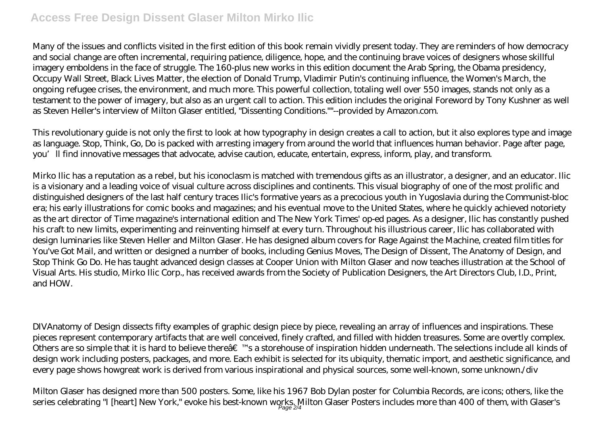## **Access Free Design Dissent Glaser Milton Mirko Ilic**

Many of the issues and conflicts visited in the first edition of this book remain vividly present today. They are reminders of how democracy and social change are often incremental, requiring patience, diligence, hope, and the continuing brave voices of designers whose skillful imagery emboldens in the face of struggle. The 160-plus new works in this edition document the Arab Spring, the Obama presidency, Occupy Wall Street, Black Lives Matter, the election of Donald Trump, Vladimir Putin's continuing influence, the Women's March, the ongoing refugee crises, the environment, and much more. This powerful collection, totaling well over 550 images, stands not only as a testament to the power of imagery, but also as an urgent call to action. This edition includes the original Foreword by Tony Kushner as well as Steven Heller's interview of Milton Glaser entitled, "Dissenting Conditions.""--provided by Amazon.com.

This revolutionary guide is not only the first to look at how typography in design creates a call to action, but it also explores type and image as language. Stop, Think, Go, Do is packed with arresting imagery from around the world that influences human behavior. Page after page, you'll find innovative messages that advocate, advise caution, educate, entertain, express, inform, play, and transform.

Mirko Ilic has a reputation as a rebel, but his iconoclasm is matched with tremendous gifts as an illustrator, a designer, and an educator. Ilic is a visionary and a leading voice of visual culture across disciplines and continents. This visual biography of one of the most prolific and distinguished designers of the last half century traces Ilic's formative years as a precocious youth in Yugoslavia during the Communist-bloc era; his early illustrations for comic books and magazines; and his eventual move to the United States, where he quickly achieved notoriety as the art director of Time magazine's international edition and The New York Times' op-ed pages. As a designer, Ilic has constantly pushed his craft to new limits, experimenting and reinventing himself at every turn. Throughout his illustrious career, Ilic has collaborated with design luminaries like Steven Heller and Milton Glaser. He has designed album covers for Rage Against the Machine, created film titles for You've Got Mail, and written or designed a number of books, including Genius Moves, The Design of Dissent, The Anatomy of Design, and Stop Think Go Do. He has taught advanced design classes at Cooper Union with Milton Glaser and now teaches illustration at the School of Visual Arts. His studio, Mirko Ilic Corp., has received awards from the Society of Publication Designers, the Art Directors Club, I.D., Print, and HOW.

DIVAnatomy of Design dissects fifty examples of graphic design piece by piece, revealing an array of influences and inspirations. These pieces represent contemporary artifacts that are well conceived, finely crafted, and filled with hidden treasures. Some are overtly complex. Others are so simple that it is hard to believe there $\hat{a} \in \mathbb{T}^M$ s a storehouse of inspiration hidden underneath. The selections include all kinds of design work including posters, packages, and more. Each exhibit is selected for its ubiquity, thematic import, and aesthetic significance, and every page shows howgreat work is derived from various inspirational and physical sources, some well-known, some unknown./div

Milton Glaser has designed more than 500 posters. Some, like his 1967 Bob Dylan poster for Columbia Records, are icons; others, like the series celebrating "I [heart] New York," evoke his best-known works. Milton Glaser Posters includes more than 400 of them, with Glaser's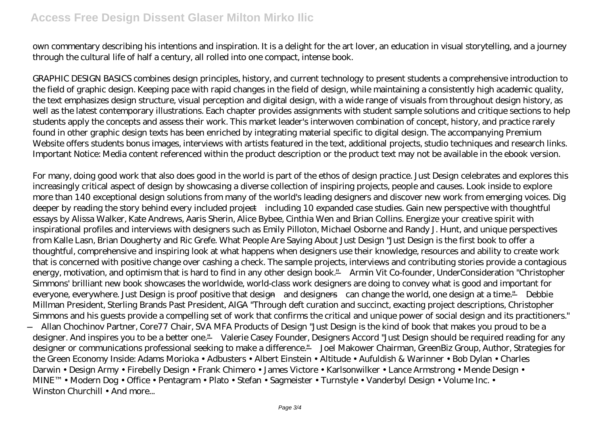### **Access Free Design Dissent Glaser Milton Mirko Ilic**

own commentary describing his intentions and inspiration. It is a delight for the art lover, an education in visual storytelling, and a journey through the cultural life of half a century, all rolled into one compact, intense book.

GRAPHIC DESIGN BASICS combines design principles, history, and current technology to present students a comprehensive introduction to the field of graphic design. Keeping pace with rapid changes in the field of design, while maintaining a consistently high academic quality, the text emphasizes design structure, visual perception and digital design, with a wide range of visuals from throughout design history, as well as the latest contemporary illustrations. Each chapter provides assignments with student sample solutions and critique sections to help students apply the concepts and assess their work. This market leader's interwoven combination of concept, history, and practice rarely found in other graphic design texts has been enriched by integrating material specific to digital design. The accompanying Premium Website offers students bonus images, interviews with artists featured in the text, additional projects, studio techniques and research links. Important Notice: Media content referenced within the product description or the product text may not be available in the ebook version.

For many, doing good work that also does good in the world is part of the ethos of design practice. Just Design celebrates and explores this increasingly critical aspect of design by showcasing a diverse collection of inspiring projects, people and causes. Look inside to explore more than 140 exceptional design solutions from many of the world's leading designers and discover new work from emerging voices. Dig deeper by reading the story behind every included project—including 10 expanded case studies. Gain new perspective with thoughtful essays by Alissa Walker, Kate Andrews, Aaris Sherin, Alice Bybee, Cinthia Wen and Brian Collins. Energize your creative spirit with inspirational profiles and interviews with designers such as Emily Pilloton, Michael Osborne and Randy J. Hunt, and unique perspectives from Kalle Lasn, Brian Dougherty and Ric Grefe. What People Are Saying About Just Design "Just Design is the first book to offer a thoughtful, comprehensive and inspiring look at what happens when designers use their knowledge, resources and ability to create work that is concerned with positive change over cashing a check. The sample projects, interviews and contributing stories provide a contagious energy, motivation, and optimism that is hard to find in any other design book." —Armin Vit Co-founder, UnderConsideration "Christopher Simmons' brilliant new book showcases the worldwide, world-class work designers are doing to convey what is good and important for everyone, everywhere. Just Design is proof positive that design—and designers—can change the world, one design at a time." —Debbie Millman President, Sterling Brands Past President, AIGA "Through deft curation and succinct, exacting project descriptions, Christopher Simmons and his guests provide a compelling set of work that confirms the critical and unique power of social design and its practitioners." —Allan Chochinov Partner, Core77 Chair, SVA MFA Products of Design "Just Design is the kind of book that makes you proud to be a designer. And inspires you to be a better one." —Valerie Casey Founder, Designers Accord "Just Design should be required reading for any designer or communications professional seeking to make a difference." —Joel Makower Chairman, GreenBiz Group, Author, Strategies for the Green Economy Inside: Adams Morioka • Adbusters • Albert Einstein • Altitude • Aufuldish & Warinner • Bob Dylan • Charles Darwin • Design Army • Firebelly Design • Frank Chimero • James Victore • Karlsonwilker • Lance Armstrong • Mende Design • MINE™ • Modern Dog • Office • Pentagram • Plato • Stefan • Sagmeister • Turnstyle • Vanderbyl Design • Volume Inc. • Winston Churchill • And more...